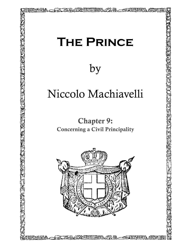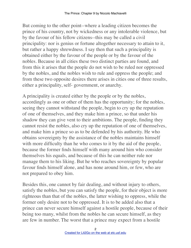But coming to the other point--where a leading citizen becomes the prince of his country, not by wickedness or any intolerable violence, but by the favour of his fellow citizens--this may be called a civil principality: nor is genius or fortune altogether necessary to attain to it, but rather a happy shrewdness. I say then that such a principality is obtained either by the favour of the people or by the favour of the nobles. Because in all cities these two distinct parties are found, and from this it arises that the people do not wish to be ruled nor oppressed by the nobles, and the nobles wish to rule and oppress the people; and from these two opposite desires there arises in cities one of three results, either a principality, self- government, or anarchy.

A principality is created either by the people or by the nobles, accordingly as one or other of them has the opportunity; for the nobles, seeing they cannot withstand the people, begin to cry up the reputation of one of themselves, and they make him a prince, so that under his shadow they can give vent to their ambitions. The people, finding they cannot resist the nobles, also cry up the reputation of one of themselves, and make him a prince so as to be defended by his authority. He who obtains sovereignty by the assistance of the nobles maintains himself with more difficulty than he who comes to it by the aid of the people, because the former finds himself with many around him who consider themselves his equals, and because of this he can neither rule nor manage them to his liking. But he who reaches sovereignty by popular favour finds himself alone, and has none around him, or few, who are not prepared to obey him.

Besides this, one cannot by fair dealing, and without injury to others, satisfy the nobles, but you can satisfy the people, for their object is more righteous than that of the nobles, the latter wishing to oppress, while the former only desire not to be oppressed. It is to be added also that a prince can never secure himself against a hostile people, because of their being too many, whilst from the nobles he can secure himself, as they are few in number. The worst that a prince may expect from a hostile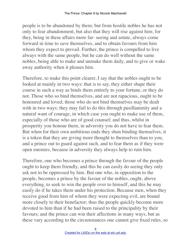people is to be abandoned by them; but from hostile nobles he has not only to fear abandonment, but also that they will rise against him; for they, being in these affairs more far- seeing and astute, always come forward in time to save themselves, and to obtain favours from him whom they expect to prevail. Further, the prince is compelled to live always with the same people, but he can do well without the same nobles, being able to make and unmake them daily, and to give or wake away authority when it pleases him.

Therefore, to make this point clearer, I say that the nobles ought to be looked at mainly in two ways: that is to say, they either shape their course in such a way as binds them entirely to your fortune, or they do not. Those who so bind themselves, and are not rapacious, ought to be honoured and loved; those who do not bind themselves may be dealt with in two ways; they may fail to do this through pusillanimity and a natural want of courage, in which case you ought to make use of them, especially of those who are of good counsel; and thus, whilst in prosperity you honour them, in adversity you do not have to fear them. But when for their own ambitious ends they shun binding themselves, it is a token that they are giving more thought to themselves than to you, and a prince out to guard against such, and to fear them as if they were open enemies, because in adversity they always help to ruin him.

Therefore, one who becomes a prince through the favour of the people ought to keep them friendly, and this he can easily do seeing they only ask not to be oppressed by him. But one who, in opposition to the people, becomes a prince by the favour of the nobles, ought, above everything, to seek to win the people over to himself, and this he may easily do if he takes them under his protection. Because men, when they receive good from him of whom they were expecting evil, are bound more closely to their benefactor; thus the people quickly become more devoted to him than if he had been raised to the principality by their favours; and the prince can win their affections in many ways, but as these vary according to the circumstances one cannot give fixed rules, so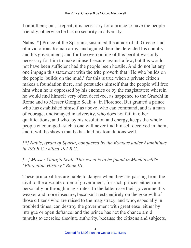I omit them; but, I repeat, it is necessary for a prince to have the people friendly, otherwise he has no security in adversity.

Nabis,[\*] Prince of the Spartans, sustained the attack of all Greece, and of a victorious Roman army, and against them he defended his country and his government; and for the overcoming of this peril it was only necessary for him to make himself secure against a few, but this would not have been sufficient had the people been hostile. And do not let any one impugn this statement with the trite proverb that "He who builds on the people, builds on the mud," for this is true when a private citizen makes a foundation there, and persuades himself that the people will free him when he is oppressed by his enemies or by the magistrates; wherein he would find himself very often deceived, as happened to the Gracchi in Rome and to Messer Giorgio Scali[+] in Florence. But granted a prince who has established himself as above, who can command, and is a man of courage, undismayed in adversity, who does not fail in other qualifications, and who, by his resolution and energy, keeps the whole people encouraged--such a one will never find himself deceived in them, and it will be shown that he has laid his foundations well.

## *[\*] Nabis, tyrant of Sparta, conquered by the Romans under Flamininus in 195 B.C.; killed 192 B.C.*

## *[+] Messer Giorgio Scali. This event is to be found in Machiavelli's "Florentine History," Book III.*

These principalities are liable to danger when they are passing from the civil to the absolute order of government, for such princes either rule personally or through magistrates. In the latter case their government is weaker and more insecure, because it rests entirely on the goodwill of those citizens who are raised to the magistracy, and who, especially in troubled times, can destroy the government with great ease, either by intrigue or open defiance; and the prince has not the chance amid tumults to exercise absolute authority, because the citizens and subjects,